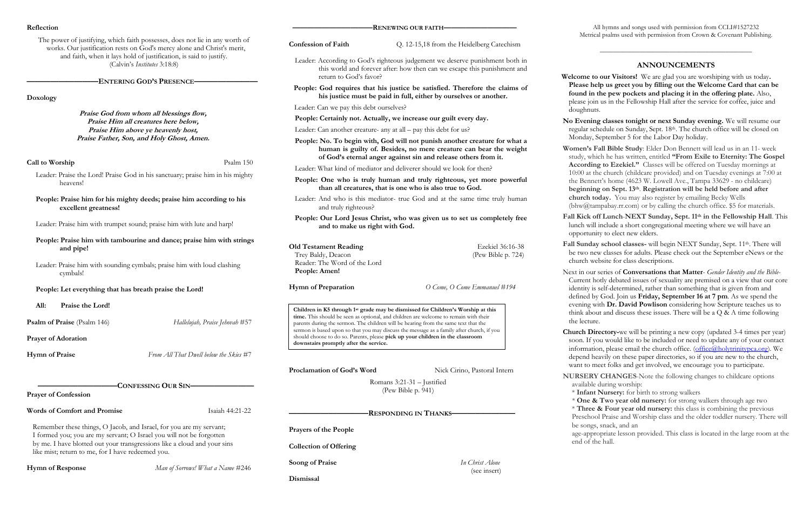**Women's Fall Bible Study**: Elder Don Bennett will lead us in an 11- week study, which he has written, entitled **"From Exile to Eternity: The Gospel According to Ezekiel."** Classes will be offered on Tuesday mornings at 10:00 at the church (childcare provided) and on Tuesday evenings at 7:00 at the Bennett's home (4623 W. Lowell Ave., Tampa 33629 - no childcare) **beginning on Sept. 13th**. **Registration will be held before and after church today.** You may also register by emailing Becky Wells (bhw $@$ tampabay.rr.com) or by calling the church office. \$5 for materials.

Fall Sunday school classes- will begin NEXT Sunday, Sept. 11<sup>th</sup>. There will be two new classes for adults. Please check out the September eNews or the church website for class descriptions.

| Reflection                                                                                                                                                                                                                                                    |                                                                         | -RENEWING OUR FAITH-                                                                                                                                                                                                                                                                                                                                                     |                                           |  |
|---------------------------------------------------------------------------------------------------------------------------------------------------------------------------------------------------------------------------------------------------------------|-------------------------------------------------------------------------|--------------------------------------------------------------------------------------------------------------------------------------------------------------------------------------------------------------------------------------------------------------------------------------------------------------------------------------------------------------------------|-------------------------------------------|--|
| The power of justifying, which faith possesses, does not lie in any worth of<br>works. Our justification rests on God's mercy alone and Christ's merit,<br>and faith, when it lays hold of justification, is said to justify.<br>(Calvin's Institutes 3:18:8) |                                                                         | <b>Confession of Faith</b>                                                                                                                                                                                                                                                                                                                                               | Q. 12-15,18 from the Heidelberg Catechism |  |
|                                                                                                                                                                                                                                                               |                                                                         | Leader: According to God's righteous judgement we deserve punishment both in<br>this world and forever after: how then can we escape this punishment and<br>return to God's favor?                                                                                                                                                                                       |                                           |  |
| <b>ENTERING GOD'S PRESENCE-</b><br>Doxology                                                                                                                                                                                                                   |                                                                         | People: God requires that his justice be satisfied. Therefore the claims of<br>his justice must be paid in full, either by ourselves or another.                                                                                                                                                                                                                         |                                           |  |
|                                                                                                                                                                                                                                                               |                                                                         | Leader: Can we pay this debt ourselves?                                                                                                                                                                                                                                                                                                                                  |                                           |  |
| Praise God from whom all blessings flow,<br>Praise Him all creatures here below,                                                                                                                                                                              |                                                                         | People: Certainly not. Actually, we increase our guilt every day.                                                                                                                                                                                                                                                                                                        |                                           |  |
|                                                                                                                                                                                                                                                               | Praise Him above ye heavenly host,                                      | Leader: Can another creature- any at all – pay this debt for us?                                                                                                                                                                                                                                                                                                         |                                           |  |
| Praise Father, Son, and Holy Ghost, Amen.                                                                                                                                                                                                                     |                                                                         | People: No. To begin with, God will not punish another creature for what a<br>human is guilty of. Besides, no mere creature can bear the weight<br>of God's eternal anger against sin and release others from it.                                                                                                                                                        |                                           |  |
| Call to Worship                                                                                                                                                                                                                                               | Psalm 150                                                               | Leader: What kind of mediator and deliverer should we look for then?                                                                                                                                                                                                                                                                                                     |                                           |  |
| Leader: Praise the Lord! Praise God in his sanctuary; praise him in his mighty<br>heavens!                                                                                                                                                                    |                                                                         | People: One who is truly human and truly righteous, yet more powerful<br>than all creatures, that is one who is also true to God.                                                                                                                                                                                                                                        |                                           |  |
| excellent greatness!                                                                                                                                                                                                                                          | People: Praise him for his mighty deeds; praise him according to his    | Leader: And who is this mediator- true God and at the same time truly human<br>and truly righteous?                                                                                                                                                                                                                                                                      |                                           |  |
| Leader: Praise him with trumpet sound; praise him with lute and harp!                                                                                                                                                                                         |                                                                         | People: Our Lord Jesus Christ, who was given us to set us completely free<br>and to make us right with God.                                                                                                                                                                                                                                                              |                                           |  |
| and pipe!                                                                                                                                                                                                                                                     | People: Praise him with tambourine and dance; praise him with strings   | <b>Old Testament Reading</b><br>Trey Baldy, Deacon                                                                                                                                                                                                                                                                                                                       | Ezekiel 36:16-38<br>(Pew Bible p. 724)    |  |
| cymbals!                                                                                                                                                                                                                                                      | Leader: Praise him with sounding cymbals; praise him with loud clashing | Reader: The Word of the Lord<br>People: Amen!                                                                                                                                                                                                                                                                                                                            |                                           |  |
| People: Let everything that has breath praise the Lord!                                                                                                                                                                                                       |                                                                         | O Come, O Come Emmanuel #194<br>Hymn of Preparation                                                                                                                                                                                                                                                                                                                      |                                           |  |
| All:<br>Praise the Lord!                                                                                                                                                                                                                                      |                                                                         |                                                                                                                                                                                                                                                                                                                                                                          |                                           |  |
| Psalm of Praise (Psalm 146)                                                                                                                                                                                                                                   | Hallelujah, Praise Jehovah #57                                          | Children in K5 through 1 <sup>st</sup> grade may be dismissed for Children's Worship at this<br>time. This should be seen as optional, and children are welcome to remain with their<br>parents during the sermon. The children will be hearing from the same text that the<br>sermon is based upon so that you may discuss the message as a family after church, if you |                                           |  |
| <b>Prayer of Adoration</b>                                                                                                                                                                                                                                    |                                                                         | should choose to do so. Parents, please pick up your children in the classroom<br>downstairs promptly after the service.                                                                                                                                                                                                                                                 |                                           |  |
| <b>Hymn of Praise</b>                                                                                                                                                                                                                                         | From All That Dwell below the Skies #7                                  |                                                                                                                                                                                                                                                                                                                                                                          |                                           |  |
|                                                                                                                                                                                                                                                               |                                                                         | Proclamation of God's Word                                                                                                                                                                                                                                                                                                                                               | Nick Cirino, Pastoral Intern              |  |
| <b>CONFESSING OUR SIN-</b>                                                                                                                                                                                                                                    |                                                                         | Romans $3:21-31$ - Justified                                                                                                                                                                                                                                                                                                                                             |                                           |  |
| <b>Prayer of Confession</b>                                                                                                                                                                                                                                   |                                                                         |                                                                                                                                                                                                                                                                                                                                                                          | (Pew Bible p. 941)                        |  |
| <b>Words of Comfort and Promise</b>                                                                                                                                                                                                                           | Isaiah 44:21-22                                                         | -RESPONDING IN THANKS-                                                                                                                                                                                                                                                                                                                                                   |                                           |  |
| Remember these things, O Jacob, and Israel, for you are my servant;<br>I formed you; you are my servant; O Israel you will not be forgotten                                                                                                                   |                                                                         | Prayers of the People                                                                                                                                                                                                                                                                                                                                                    |                                           |  |
| by me. I have blotted out your transgressions like a cloud and your sins<br>like mist; return to me, for I have redeemed you.                                                                                                                                 |                                                                         | <b>Collection of Offering</b>                                                                                                                                                                                                                                                                                                                                            |                                           |  |
| <b>Hymn of Response</b>                                                                                                                                                                                                                                       | Man of Sorrows! What a Name #246                                        | <b>Soong of Praise</b>                                                                                                                                                                                                                                                                                                                                                   | In Christ Alone<br>(see insert)           |  |
|                                                                                                                                                                                                                                                               |                                                                         | Dismissal                                                                                                                                                                                                                                                                                                                                                                |                                           |  |

All hymns and songs used with permission from CCLI#1527232 Metrical psalms used with permission from Crown & Covenant Publishing.

\_\_\_\_\_\_\_\_\_\_\_\_\_\_\_\_\_\_\_\_\_\_\_\_\_\_\_\_\_\_\_\_\_\_\_\_\_\_\_\_\_\_\_\_\_\_

# **ANNOUNCEMENTS**

 **Welcome to our Visitors!** We are glad you are worshiping with us today**. Please help us greet you by filling out the Welcome Card that can be found in the pew pockets and placing it in the offering plate.** Also, please join us in the Fellowship Hall after the service for coffee, juice and doughnuts.

**No Evening classes tonight or next Sunday evening.** We will resume our regular schedule on Sunday, Sept. 18th. The church office will be closed on Monday, September 5 for the Labor Day holiday.

**Fall Kick off Lunch**-**NEXT Sunday, Sept. 11 th in the Fellowship Hall**. This lunch will include a short congregational meeting where we will have an opportunity to elect new elders.

Next in our series of **Conversations that Matter**- *Gender Identity and the Bible-*Current hotly debated issues of sexuality are premised on a view that our core identity is self-determined, rather than something that is given from and defined by God. Join us **Friday, September 16 at 7 pm**. As we spend the evening with **Dr. David Powlison** considering how Scripture teaches us to think about and discuss these issues. There will be a Q & A time following the lecture.

**Church Directory-**we will be printing a new copy (updated 3-4 times per year) soon. If you would like to be included or need to update any of your contact information, please email the church office. (office $\omega$ holytrinitypca.org). We depend heavily on these paper directories, so if you are new to the church, want to meet folks and get involved, we encourage you to participate.

**NURSERY CHANGES**-Note the following changes to childcare options available during worship:

\* **Infant Nursery:** for birth to strong walkers

\* **One & Two year old nursery:** for strong walkers through age two

\* **Three & Four year old nursery:** this class is combining the previous Preschool Praise and Worship class and the older toddler nursery. There will

be songs, snack, and an

 age-appropriate lesson provided. This class is located in the large room at the end of the hall.